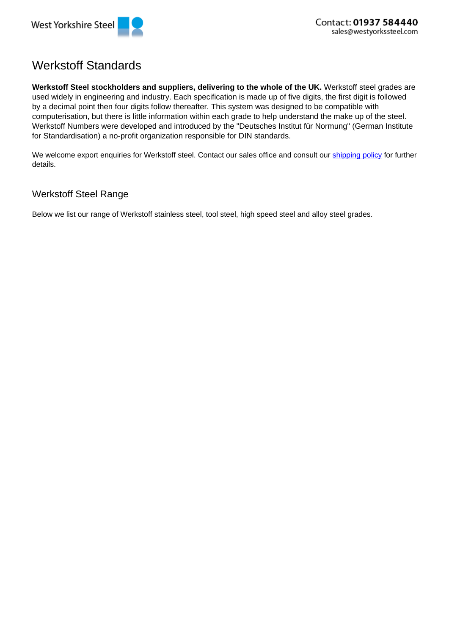

## Werkstoff Standards

**Werkstoff Steel stockholders and suppliers, delivering to the whole of the UK.** Werkstoff steel grades are used widely in engineering and industry. Each specification is made up of five digits, the first digit is followed by a decimal point then four digits follow thereafter. This system was designed to be compatible with computerisation, but there is little information within each grade to help understand the make up of the steel. Werkstoff Numbers were developed and introduced by the "Deutsches Institut für Normung" (German Institute for Standardisation) a no-profit organization responsible for DIN standards.

We welcome export enquiries for Werkstoff steel. Contact our sales office and consult our shipping policy for further details.

## Werkstoff Steel Range

Below we list our range of Werkstoff stainless steel, tool steel, high speed steel and alloy steel grades.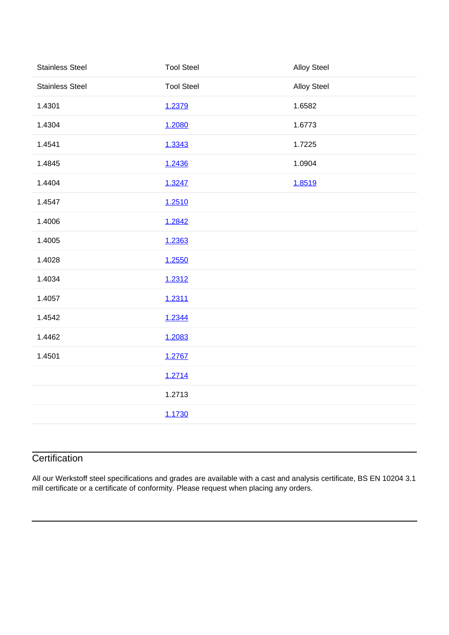| <b>Stainless Steel</b> | <b>Tool Steel</b> | <b>Alloy Steel</b> |
|------------------------|-------------------|--------------------|
| <b>Stainless Steel</b> | <b>Tool Steel</b> | <b>Alloy Steel</b> |
| 1.4301                 | 1.2379            | 1.6582             |
| 1.4304                 | 1.2080            | 1.6773             |
| 1.4541                 | 1.3343            | 1.7225             |
| 1.4845                 | 1.2436            | 1.0904             |
| 1.4404                 | 1.3247            | 1.8519             |
| 1.4547                 | 1.2510            |                    |
| 1.4006                 | 1.2842            |                    |
| 1.4005                 | 1.2363            |                    |
| 1.4028                 | 1.2550            |                    |
| 1.4034                 | 1.2312            |                    |
| 1.4057                 | 1.2311            |                    |
| 1.4542                 | 1.2344            |                    |
| 1.4462                 | 1.2083            |                    |
| 1.4501                 | 1.2767            |                    |
|                        | 1.2714            |                    |
|                        | 1.2713            |                    |
|                        | 1.1730            |                    |
|                        |                   |                    |

## **Certification**

All our Werkstoff steel specifications and grades are available with a cast and analysis certificate, BS EN 10204 3.1 mill certificate or a certificate of conformity. Please request when placing any orders.